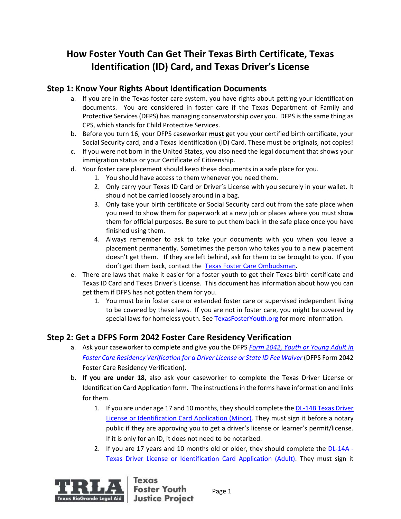# **How Foster Youth Can Get Their Texas Birth Certificate, Texas Identification (ID) Card, and Texas Driver's License**

## **Step 1: Know Your Rights About Identification Documents**

- a. If you are in the Texas foster care system, you have rights about getting your identification documents. You are considered in foster care if the Texas Department of Family and Protective Services (DFPS) has managing conservatorship over you. DFPS is the same thing as CPS, which stands for Child Protective Services.
- b. Before you turn 16, your DFPS caseworker **must** get you your certified birth certificate, your Social Security card, and a Texas Identification (ID) Card. These must be originals, not copies!
- c. If you were not born in the United States, you also need the legal document that shows your immigration status or your Certificate of Citizenship.
- d. Your foster care placement should keep these documents in a safe place for you.
	- 1. You should have access to them whenever you need them.
	- 2. Only carry your Texas ID Card or Driver's License with you securely in your wallet. It should not be carried loosely around in a bag.
	- 3. Only take your birth certificate or Social Security card out from the safe place when you need to show them for paperwork at a new job or places where you must show them for official purposes. Be sure to put them back in the safe place once you have finished using them.
	- 4. Always remember to ask to take your documents with you when you leave a placement permanently. Sometimes the person who takes you to a new placement doesn't get them. If they are left behind, ask for them to be brought to you. If you don't get them back, contact the [Texas Foster Care Ombudsman.](https://hhs.texas.gov/about-hhs/your-rights/office-ombudsman/hhs-ombudsman-foster-care-help)
- e. There are laws that make it easier for a foster youth to get their Texas birth certificate and Texas ID Card and Texas Driver's License. This document has information about how you can get them if DFPS has not gotten them for you.
	- 1. You must be in foster care or extended foster care or supervised independent living to be covered by these laws. If you are not in foster care, you might be covered by special laws for homeless youth. See [TexasFosterYouth.org](http://texasfosteryouth.org/) for more information.

## **Step 2: Get a DFPS Form 2042 Foster Care Residency Verification**

- a. Ask your caseworker to complete and give you the DFPS *[Form 2042, Youth or Young Adult in](http://www.dfps.state.tx.us/Application/Forms/showFile.aspx?Name=K-908-2042.pdf)  [Foster Care Residency Verification for a Driver License or State ID Fee Waiver](http://www.dfps.state.tx.us/Application/Forms/showFile.aspx?Name=K-908-2042.pdf)* (DFPS Form 2042 Foster Care Residency Verification).
- b. **If you are under 18**, also ask your caseworker to complete the Texas Driver License or Identification Card Application form. The instructions in the forms have information and links for them.
	- 1. If you are under age 17 and 10 months, they should complete th[e DL-14B Texas Driver](https://www.dps.texas.gov/internetforms/Forms/DL-14b.pdf)  [License or Identification Card Application \(Minor\).](https://www.dps.texas.gov/internetforms/Forms/DL-14b.pdf) They must sign it before a notary public if they are approving you to get a driver's license or learner's permit/license. If it is only for an ID, it does not need to be notarized.
	- 2. If you are 17 years and 10 months old or older, they should complete the  $DL-14A -$ [Texas Driver License or Identification Card Application \(Adult\).](https://www.dps.texas.gov/internetforms/Forms/DL-14A.pdf) They must sign it



Texas **Foster Youth Justice Project**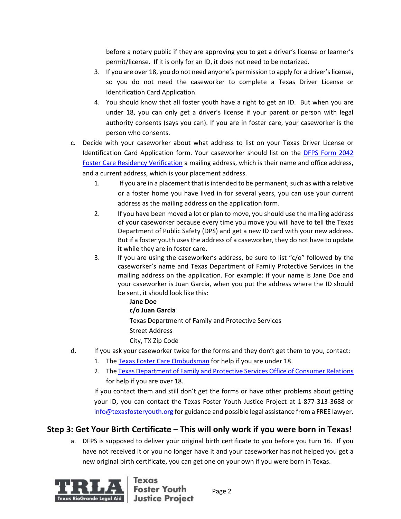before a notary public if they are approving you to get a driver's license or learner's permit/license. If it is only for an ID, it does not need to be notarized.

- 3. If you are over 18, you do not need anyone's permission to apply for a driver's license, so you do not need the caseworker to complete a Texas Driver License or Identification Card Application.
- 4. You should know that all foster youth have a right to get an ID. But when you are under 18, you can only get a driver's license if your parent or person with legal authority consents (says you can). If you are in foster care, your caseworker is the person who consents.
- c. Decide with your caseworker about what address to list on your Texas Driver License or Identification Card Application form. Your caseworker should list on the [DFPS Form 2042](http://www.dfps.state.tx.us/Application/Forms/showFile.aspx?Name=K-908-2042.pdf)  [Foster Care Residency Verification](http://www.dfps.state.tx.us/Application/Forms/showFile.aspx?Name=K-908-2042.pdf) a mailing address, which is their name and office address, and a current address, which is your placement address.
	- 1. If you are in a placement that is intended to be permanent, such as with a relative or a foster home you have lived in for several years, you can use your current address as the mailing address on the application form.
	- 2. If you have been moved a lot or plan to move, you should use the mailing address of your caseworker because every time you move you will have to tell the Texas Department of Public Safety (DPS) and get a new ID card with your new address. But if a foster youth uses the address of a caseworker, they do not have to update it while they are in foster care.
	- 3. If you are using the caseworker's address, be sure to list "c/o" followed by the caseworker's name and Texas Department of Family Protective Services in the mailing address on the application. For example: if your name is Jane Doe and your caseworker is Juan Garcia, when you put the address where the ID should be sent, it should look like this:
- **Jane Doe c/o Juan Garcia** Texas Department of Family and Protective Services Street Address City, TX Zip Code d. If you ask your caseworker twice for the forms and they don't get them to you, contact:
	- 1. The [Texas Foster Care Ombudsman](https://hhs.texas.gov/about-hhs/your-rights/office-ombudsman/hhs-ombudsman-foster-care-help) for help if you are under 18.
		- 2. [The Texas Department of Family and Protective Services Office of Consumer Relations](https://www.dfps.state.tx.us/Contact_Us/Questions_and_Complaints/OCR.asp) for help if you are over 18.

If you contact them and still don't get the forms or have other problems about getting your ID, you can contact the Texas Foster Youth Justice Project at 1-877-313-3688 or [info@texasfosteryouth.org](mailto:info@texasfosteryouth.org) for guidance and possible legal assistance from a FREE lawyer.

## **Step 3: Get Your Birth Certificate** – **This will only work if you were born in Texas!**

a. DFPS is supposed to deliver your original birth certificate to you before you turn 16. If you have not received it or you no longer have it and your caseworker has not helped you get a new original birth certificate, you can get one on your own if you were born in Texas.



**Foster Youth Justice Project**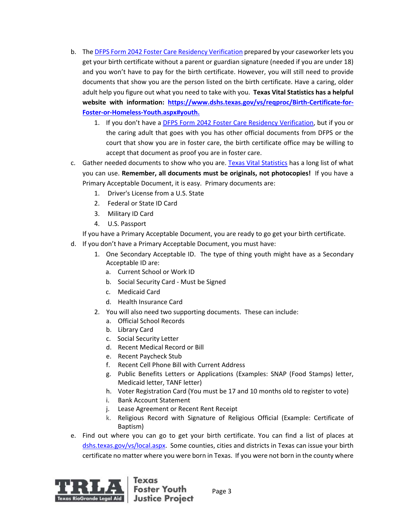- b. Th[e DFPS Form 2042 Foster Care Residency Verification](http://www.dfps.state.tx.us/Application/Forms/showFile.aspx?Name=K-908-2042.pdf) prepared by your caseworker lets you get your birth certificate without a parent or guardian signature (needed if you are under 18) and you won't have to pay for the birth certificate. However, you will still need to provide documents that show you are the person listed on the birth certificate. Have a caring, older adult help you figure out what you need to take with you. **Texas Vital Statistics has a helpful website with information: [https://www.dshs.texas.gov/vs/reqproc/Birth-Certificate-for-](https://www.dshs.texas.gov/vs/reqproc/Birth-Certificate-for-Foster-or-Homeless-Youth.aspx#youth)[Foster-or-Homeless-Youth.aspx#youth.](https://www.dshs.texas.gov/vs/reqproc/Birth-Certificate-for-Foster-or-Homeless-Youth.aspx#youth)** 
	- 1. If you don't have a [DFPS Form 2042 Foster Care Residency Verification,](http://www.dfps.state.tx.us/Application/Forms/showFile.aspx?Name=K-908-2042.pdf) but if you or the caring adult that goes with you has other official documents from DFPS or the court that show you are in foster care, the birth certificate office may be willing to accept that document as proof you are in foster care.
- c. Gather needed documents to show who you are. [Texas Vital Statistics](https://dshs.texas.gov/vs/reqproc/Acceptable-IDs/) has a long list of what you can use. **Remember, all documents must be originals, not photocopies!** If you have a Primary Acceptable Document, it is easy.Primary documents are:
	- 1. Driver's License from a U.S. State
	- 2. Federal or State ID Card
	- 3. Military ID Card
	- 4. U.S. Passport

If you have a Primary Acceptable Document, you are ready to go get your birth certificate.

- d. If you don't have a Primary Acceptable Document, you must have:
	- 1. One Secondary Acceptable ID. The type of thing youth might have as a Secondary Acceptable ID are:
		- a. Current School or Work ID
		- b. Social Security Card Must be Signed
		- c. Medicaid Card
		- d. Health Insurance Card
	- 2. You will also need two supporting documents. These can include:
		- a. Official School Records
		- b. Library Card
		- c. Social Security Letter
		- d. Recent Medical Record or Bill
		- e. Recent Paycheck Stub
		- f. Recent Cell Phone Bill with Current Address
		- g. Public Benefits Letters or Applications (Examples: SNAP (Food Stamps) letter, Medicaid letter, TANF letter)
		- h. Voter Registration Card (You must be 17 and 10 months old to register to vote)
		- i. Bank Account Statement
		- j. Lease Agreement or Recent Rent Receipt
		- k. Religious Record with Signature of Religious Official (Example: Certificate of Baptism)
- e. Find out where you can go to get your birth certificate. You can find a list of places at [dshs.texas.gov/vs/local.aspx.](https://www.dshs.texas.gov/vs/local.aspx) Some counties, cities and districts in Texas can issue your birth certificate no matter where you were born in Texas. If you were not born in the county where

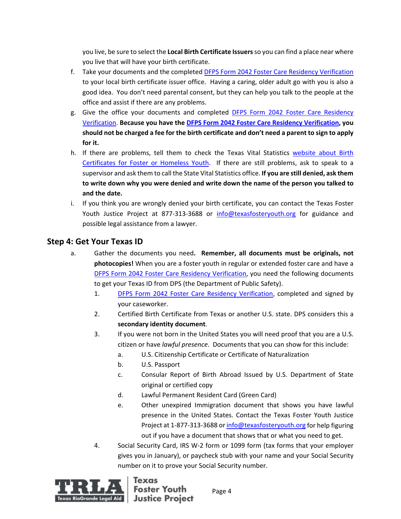you live, be sure to select the **Local Birth Certificate Issuers**so you can find a place near where you live that will have your birth certificate.

- f. Take your documents and the completed [DFPS Form 2042 Foster Care Residency Verification](http://www.dfps.state.tx.us/Application/Forms/showFile.aspx?Name=K-908-2042.pdf) to your local birth certificate issuer office. Having a caring, older adult go with you is also a good idea. You don't need parental consent, but they can help you talk to the people at the office and assist if there are any problems.
- g. Give the office your documents and completed [DFPS Form 2042 Foster Care Residency](http://www.dfps.state.tx.us/Application/Forms/showFile.aspx?Name=K-908-2042.pdf)  [Verification.](http://www.dfps.state.tx.us/Application/Forms/showFile.aspx?Name=K-908-2042.pdf) **Because you have the DFPS Form 2042 [Foster Care Residency Verification,](http://www.dfps.state.tx.us/Application/Forms/showFile.aspx?Name=K-908-2042.pdf) you should not be charged a fee for the birth certificate and don't need a parent to sign to apply for it.**
- h. If there are problems, tell them to check the Texas Vital Statistics [website about Birth](https://www.dshs.state.tx.us/vs/reqproc/Birth-Certificate-for-Foster-or-Homeless-Youth.aspx#youth)  [Certificates for Foster or Homeless Youth.](https://www.dshs.state.tx.us/vs/reqproc/Birth-Certificate-for-Foster-or-Homeless-Youth.aspx#youth) If there are still problems, ask to speak to a supervisor and ask them to call the State Vital Statistics office. **If you are still denied, ask them to write down why you were denied and write down the name of the person you talked to and the date.**
- i. If you think you are wrongly denied your birth certificate, you can contact the Texas Foster Youth Justice Project at 877-313-3688 or [info@texasfosteryouth.org](mailto:info@texasfosteryouth.org) for guidance and possible legal assistance from a lawyer.

### **Step 4: Get Your Texas ID**

- a. Gather the documents you need**. Remember, all documents must be originals, not photocopies!** When you are a foster youth in regular or extended foster care and have a [DFPS Form 2042 Foster Care Residency Verification,](http://www.dfps.state.tx.us/Application/Forms/showFile.aspx?Name=K-908-2042.pdf) you need the following documents to get your Texas ID from DPS (the Department of Public Safety).
	- 1. [DFPS Form 2042 Foster Care Residency Verification,](http://www.dfps.state.tx.us/Application/Forms/showFile.aspx?Name=K-908-2042.pdf) completed and signed by your caseworker.
	- 2. Certified Birth Certificate from Texas or another U.S. state. DPS considers this a **secondary identity document**.
	- 3. If you were not born in the United States you will need proof that you are a U.S. citizen or have *lawful presence*. Documents that you can show for this include:
		- a. U.S. Citizenship Certificate or Certificate of Naturalization
		- b. U.S. Passport
		- c. Consular Report of Birth Abroad Issued by U.S. Department of State original or certified copy
		- d. Lawful Permanent Resident Card (Green Card)
		- e. Other unexpired Immigration document that shows you have lawful presence in the United States. Contact the Texas Foster Youth Justice Project at 1-877-313-3688 o[r info@texasfosteryouth.org](mailto:info@texasfosteryouth.org) for help figuring out if you have a document that shows that or what you need to get.
	- 4. Social Security Card, IRS W-2 form or 1099 form (tax forms that your employer gives you in January), or paycheck stub with your name and your Social Security number on it to prove your Social Security number.

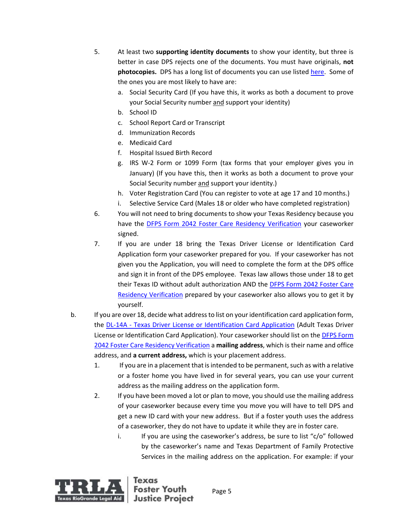- 5. At least two **supporting identity documents** to show your identity, but three is better in case DPS rejects one of the documents. You must have originals, **not photocopies.** DPS has a long list of documents you can use listed [here.](https://www.dps.texas.gov/DriverLicense/identificationrequirements.htm) Some of the ones you are most likely to have are:
	- a. Social Security Card (If you have this, it works as both a document to prove your Social Security number and support your identity)
	- b. School ID
	- c. School Report Card or Transcript
	- d. Immunization Records
	- e. Medicaid Card
	- f. Hospital Issued Birth Record
	- g. IRS W-2 Form or 1099 Form (tax forms that your employer gives you in January) (If you have this, then it works as both a document to prove your Social Security number and support your identity.)
	- h. Voter Registration Card (You can register to vote at age 17 and 10 months.)
	- i. Selective Service Card (Males 18 or older who have completed registration)
- 6. You will not need to bring documents to show your Texas Residency because you have the [DFPS Form 2042 Foster Care Residency Verification](http://www.dfps.state.tx.us/Application/Forms/showFile.aspx?Name=K-908-2042.pdf) your caseworker signed.
- 7. If you are under 18 bring the Texas Driver License or Identification Card Application form your caseworker prepared for you. If your caseworker has not given you the Application, you will need to complete the form at the DPS office and sign it in front of the DPS employee. Texas law allows those under 18 to get their Texas ID without adult authorization AND the DFPS Form 2042 Foster Care [Residency Verification](http://www.dfps.state.tx.us/Application/Forms/showFile.aspx?Name=K-908-2042.pdf) prepared by your caseworker also allows you to get it by yourself.
- b. If you are over 18, decide what address to list on your identification card application form, the DL-14A - [Texas Driver License or Identification Card Application](https://www.dps.texas.gov/internetforms/Forms/DL-14A.pdf) (Adult Texas Driver License or Identification Card Application). Your caseworker should list on th[e DFPS Form](http://www.dfps.state.tx.us/Application/Forms/showFile.aspx?Name=K-908-2042.pdf)  [2042 Foster Care Residency Verification](http://www.dfps.state.tx.us/Application/Forms/showFile.aspx?Name=K-908-2042.pdf) a **mailing address**, which is their name and office address, and **a current address,** which is your placement address.
	- 1. If you are in a placement that is intended to be permanent, such as with a relative or a foster home you have lived in for several years, you can use your current address as the mailing address on the application form.
	- 2. If you have been moved a lot or plan to move, you should use the mailing address of your caseworker because every time you move you will have to tell DPS and get a new ID card with your new address. But if a foster youth uses the address of a caseworker, they do not have to update it while they are in foster care.
		- i. If you are using the caseworker's address, be sure to list " $c/\sigma$ " followed by the caseworker's name and Texas Department of Family Protective Services in the mailing address on the application. For example: if your



**Justice Project**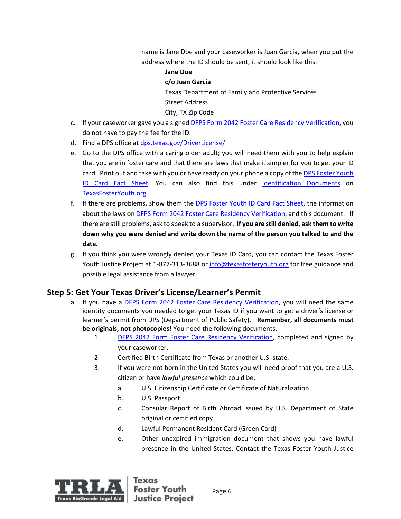name is Jane Doe and your caseworker is Juan Garcia, when you put the address where the ID should be sent, it should look like this:

#### **Jane Doe**

#### **c/o Juan Garcia**

Texas Department of Family and Protective Services Street Address City, TX Zip Code

- c. If your caseworker gave you a signed [DFPS Form 2042 Foster Care Residency Verification,](http://www.dfps.state.tx.us/Application/Forms/showFile.aspx?Name=K-908-2042.pdf) you do not have to pay the fee for the ID.
- d. Find a DPS office at [dps.texas.gov/DriverLicense/.](https://www.dps.texas.gov/DriverLicense/)
- e. Go to the DPS office with a caring older adult; you will need them with you to help explain that you are in foster care and that there are laws that make it simpler for you to get your ID card. Print out and take with you or have ready on your phone a copy of th[e DPS Foster Youth](https://www.dfps.state.tx.us/Child_Protection/Youth_and_Young_Adults/Transitional_Living/documents/Foster_Youth_ID_Fact_Sheet.pdf) ID [Card Fact Sheet.](https://www.dfps.state.tx.us/Child_Protection/Youth_and_Young_Adults/Transitional_Living/documents/Foster_Youth_ID_Fact_Sheet.pdf) You can also find this under [Identification Documents](http://texasfosteryouth.org/legal-resources/legal-resources-for-youth/legal-documents/) on [TexasFosterYouth.org.](http://texasfosteryouth.org/)
- f. If there are problems, show them the [DPS Foster Youth ID Card Fact Sheet,](https://www.dfps.state.tx.us/Child_Protection/Youth_and_Young_Adults/Transitional_Living/documents/Foster_Youth_ID_Fact_Sheet.pdf) the information about the laws on [DFPS Form 2042 Foster Care Residency Verification,](http://www.dfps.state.tx.us/Application/Forms/showFile.aspx?Name=K-908-2042.pdf) and this document. If there are still problems, ask to speak to a supervisor. **If you are still denied, ask them to write down why you were denied and write down the name of the person you talked to and the date.**
- g. If you think you were wrongly denied your Texas ID Card, you can contact the Texas Foster Youth Justice Project at 1-877-313-3688 or [info@texasfosteryouth.org](mailto:info@texasfosteryouth.org) for free guidance and possible legal assistance from a lawyer.

## **Step 5: Get Your Texas Driver's License/Learner's Permit**

- a. If you have a [DFPS Form 2042 Foster Care Residency Verification,](http://www.dfps.state.tx.us/Application/Forms/showFile.aspx?Name=K-908-2042.pdf) you will need the same identity documents you needed to get your Texas ID if you want to get a driver's license or learner's permit from DPS (Department of Public Safety). **Remember, all documents must be originals, not photocopies!** You need the following documents.
	- 1. DFPS 2042 Form [Foster Care Residency Verification,](http://www.dfps.state.tx.us/Application/Forms/showFile.aspx?Name=K-908-2042.pdf) completed and signed by your caseworker.
	- 2. Certified Birth Certificate from Texas or another U.S. state.
	- 3. If you were not born in the United States you will need proof that you are a U.S. citizen or have *lawful presence* which could be:
		- a. U.S. Citizenship Certificate or Certificate of Naturalization
		- b. U.S. Passport
		- c. Consular Report of Birth Abroad Issued by U.S. Department of State original or certified copy
		- d. Lawful Permanent Resident Card (Green Card)
		- e. Other unexpired immigration document that shows you have lawful presence in the United States. Contact the Texas Foster Youth Justice

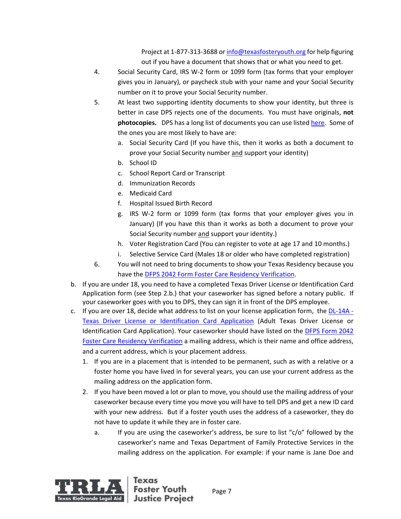Project at 1-877-313-3688 o[r info@texasfosteryouth.org](mailto:info@texasfosteryouth.org) for help figuring out if you have a document that shows that or what you need to get.

- 4. Social Security Card, IRS W-2 form or 1099 form (tax forms that your employer gives you in January), or paycheck stub with your name and your Social Security number on it to prove your Social Security number.
- 5. At least two supporting identity documents to show your identity, but three is better in case DPS rejects one of the documents. You must have originals, **not photocopies.** DPS has a long list of documents you can use listed [here.](https://www.dps.texas.gov/DriverLicense/identificationrequirements.htm) Some of the ones you are most likely to have are:
	- a. Social Security Card (If you have this, then it works as both a document to prove your Social Security number and support your identity)
	- b. School ID
	- c. School Report Card or Transcript
	- d. Immunization Records
	- e. Medicaid Card
	- f. Hospital Issued Birth Record
	- g. IRS W-2 form or 1099 form (tax forms that your employer gives you in January) (If you have this than it works as both a document to prove your Social Security number and support your identity.)
	- h. Voter Registration Card (You can register to vote at age 17 and 10 months.)
	- i. Selective Service Card (Males 18 or older who have completed registration)
- 6. You will not need to bring documents to show your Texas Residency because you have the [DFPS 2042 Form Foster Care Residency Verification.](http://www.dfps.state.tx.us/Application/Forms/showFile.aspx?Name=K-908-2042.pdf)
- b. If you are under 18, you need to have a completed Texas Driver License or Identification Card Application form (see Step 2.b.) that your caseworker has signed before a notary public. If your caseworker goes with you to DPS, they can sign it in front of the DPS employee.
- c. If you are over 18, decide what address to list on your license application form, the [DL-14A -](https://www.dps.texas.gov/internetforms/Forms/DL-14A.pdf) [Texas Driver License or Identification Card Application](https://www.dps.texas.gov/internetforms/Forms/DL-14A.pdf) (Adult Texas Driver License or Identification Card Application). Your caseworker should have listed on the [DFPS Form 2042](http://www.dfps.state.tx.us/Application/Forms/showFile.aspx?Name=K-908-2042.pdf)  [Foster Care Residency Verification](http://www.dfps.state.tx.us/Application/Forms/showFile.aspx?Name=K-908-2042.pdf) a mailing address, which is their name and office address, and a current address, which is your placement address.
	- 1. If you are in a placement that is intended to be permanent, such as with a relative or a foster home you have lived in for several years, you can use your current address as the mailing address on the application form.
	- 2. If you have been moved a lot or plan to move, you should use the mailing address of your caseworker because every time you move you will have to tell DPS and get a new ID card with your new address. But if a foster youth uses the address of a caseworker, they do not have to update it while they are in foster care.
		- a. If you are using the caseworker's address, be sure to list " $c/\sigma$ " followed by the caseworker's name and Texas Department of Family Protective Services in the mailing address on the application. For example: if your name is Jane Doe and